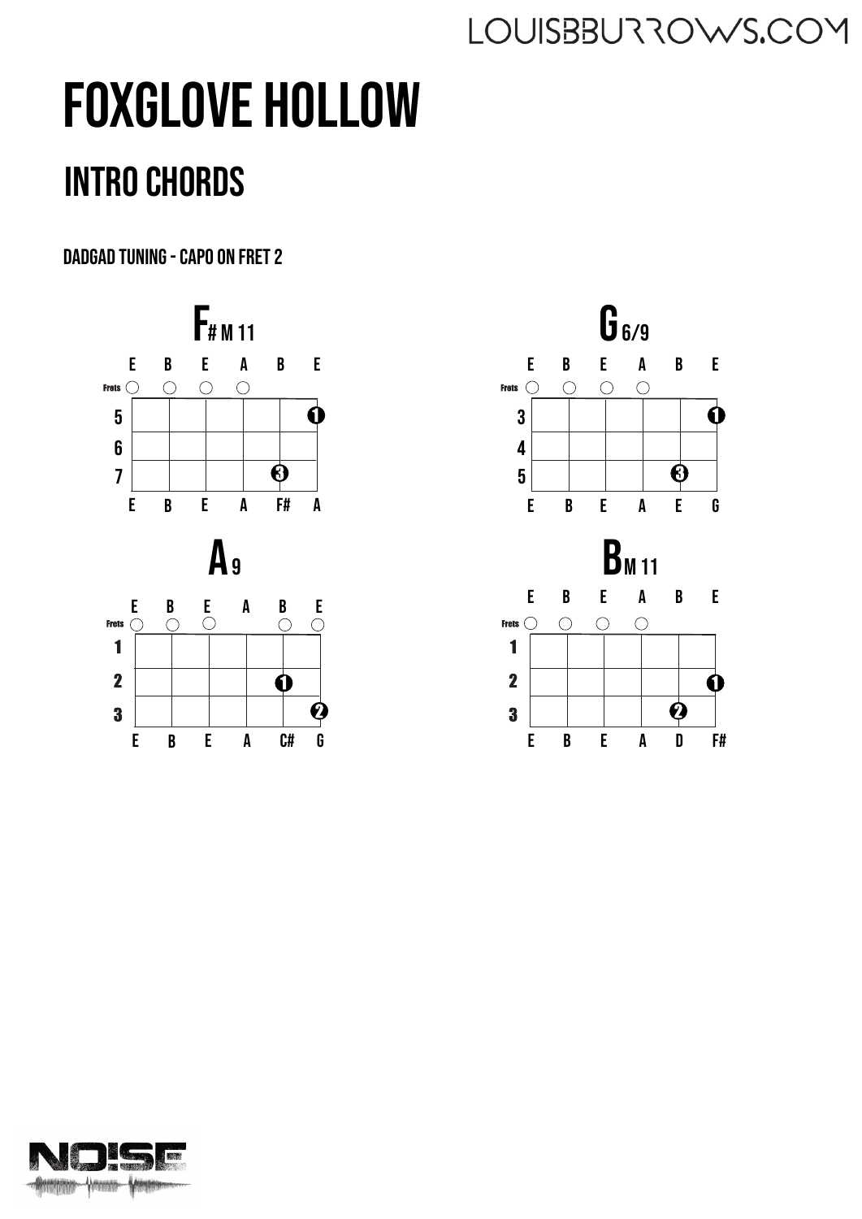# Foxglove Hollow

## Intro chords

DADGAD tuning - Capo on Fret 2





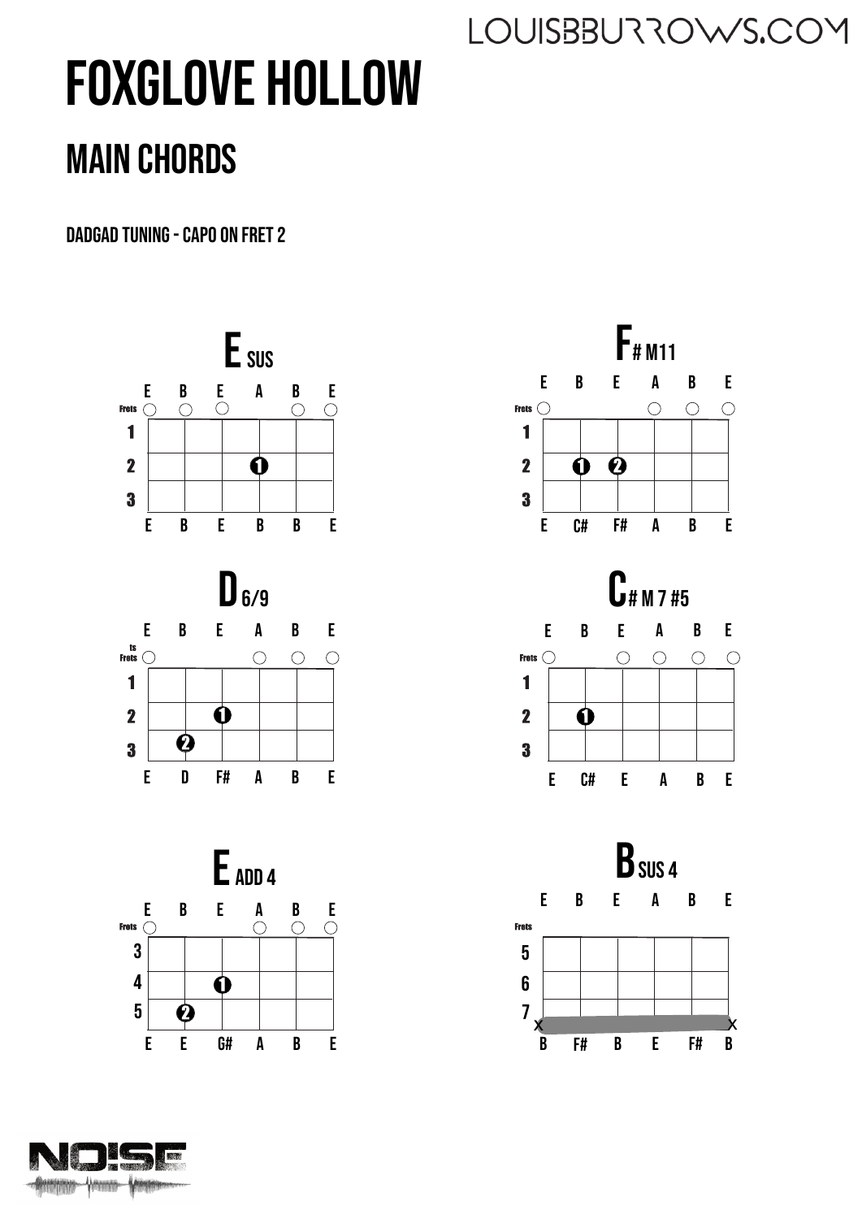## Foxglove Hollow Main chords

DADGAD tuning - Capo on Fret 2









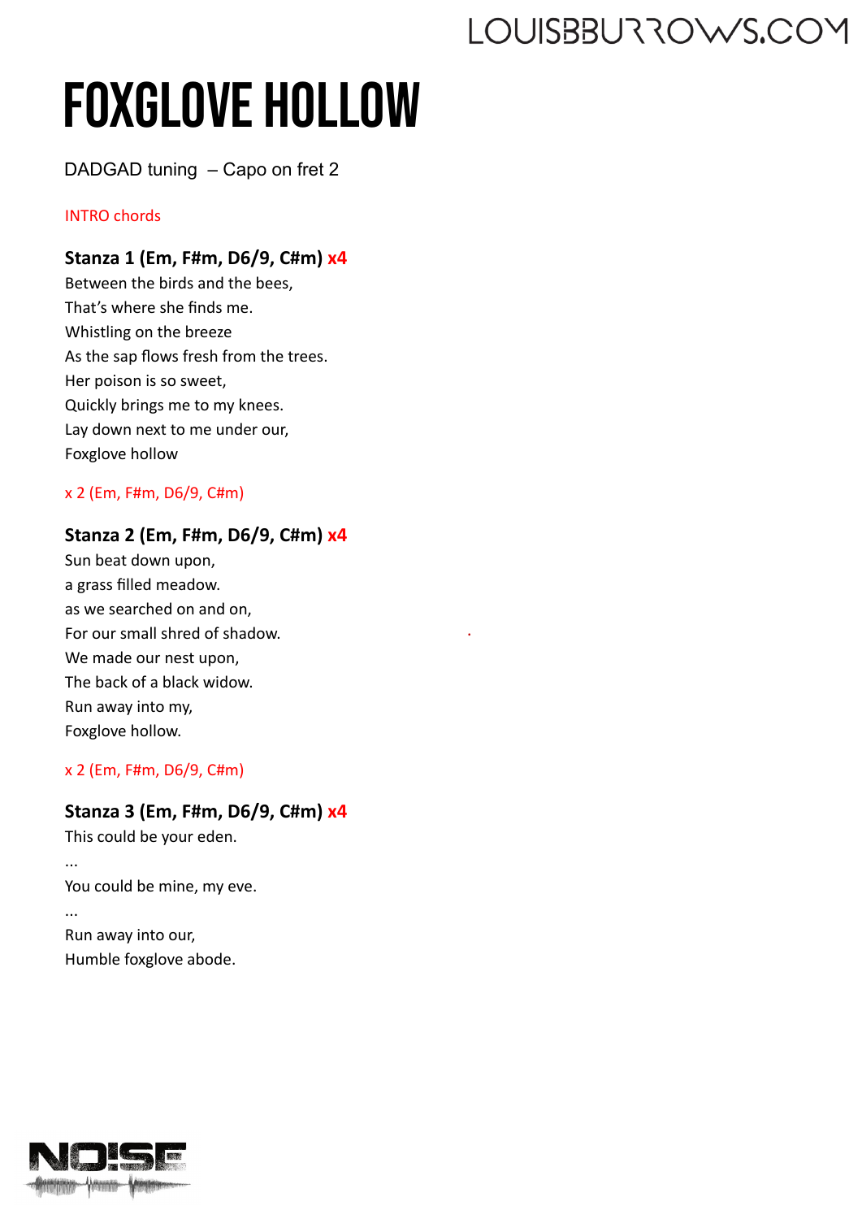## Foxglove Hollow

DADGAD tuning – Capo on fret 2

#### INTRO chords

#### **Stanza 1 (Em, F#m, D6/9, C#m) x4**

Between the birds and the bees, That's where she finds me. Whistling on the breeze As the sap flows fresh from the trees. Her poison is so sweet, Quickly brings me to my knees. Lay down next to me under our, Foxglove hollow

#### x 2 (Em, F#m, D6/9, C#m)

#### **Stanza 2 (Em, F#m, D6/9, C#m) x4**

.

Sun beat down upon, a grass filled meadow. as we searched on and on, For our small shred of shadow. We made our nest upon, The back of a black widow. Run away into my, Foxglove hollow.

x 2 (Em, F#m, D6/9, C#m)

#### **Stanza 3 (Em, F#m, D6/9, C#m) x4**

This could be your eden.

... You could be mine, my eve.

Run away into our, Humble foxglove abode.

...